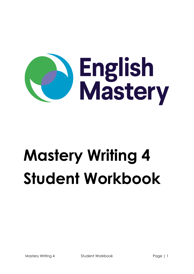

# **Mastery Writing 4 Student Workbook**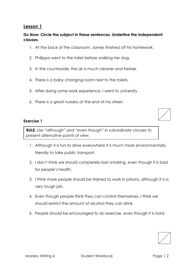#### **Do Now: Circle the subject in these sentences. Underline the independent clauses.**

- 1. At the back of the classroom, James finished off his homework.
- 2. Philippa went to the toilet before walking her dog.
- 3. In the countryside, the air is much cleaner and fresher.
- 4. There is a baby changing room next to the toilets.
- 5. After doing some work experience, I went to university
- 6. There is a great nursery at the end of my street.

#### **Exercise 1**

**RULE***: Use "although" and "even though" in subordinate clauses to present alternative points of view.*

- 1. Although it is fun to drive everywhere it is much more environmentally friendly to take public transport.
- 2. I don't think we should completely ban smoking, even though it is bad for people's health.
- 3. I think more people should be trained to work in prisons, although it is a very tough job.
- 4. Even though people think they can control themselves, I think we should restrict the amount of alcohol they can drink.
- 5. People should be encouraged to do exercise, even though it is hard.

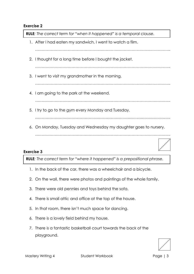**RULE***: The correct term for "when it happened" is a temporal clause.* 

1. After I had eaten my sandwich, I went to watch a film. ………………………………………………………………………………………….. 2. I thought for a long time before I bought the jacket. ………………………………………………………………………………………….. 3. I went to visit my grandmother in the morning. ………………………………………………………………………………………….. 4. I am going to the park at the weekend. ………………………………………………………………………………………….. 5. I try to go to the gym every Monday and Tuesday. ………………………………………………………………………………………….. 6. On Monday, Tuesday and Wednesday my daughter goes to nursery.

…………………………………………………………………………………………..

#### **Exercise 3**

**RULE***: The correct term for "where it happened" is a prepositional phrase.*

- 1. In the back of the car, there was a wheelchair and a bicycle.
- 2. On the wall, there were photos and paintings of the whole family.
- 3. There were old pennies and toys behind the sofa.
- 4. There is small attic and office at the top of the house.
- 5. In that room, there isn't much space for dancing.
- 6. There is a lovely field behind my house.
- 7. There is a fantastic basketball court towards the back of the playground.

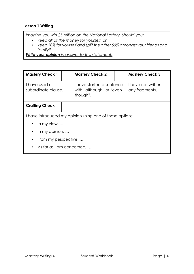## **Lesson 1 Writing**

*Imagine you win £5 million on the National Lottery. Should you:*

- *keep all of the money for yourself, or*
- *keep 50% for yourself and split the other 50% amongst your friends and family?*

*Write your opinion in answer to this statement.* 

| <b>Mastery Check 1</b>                                   |  | <b>Mastery Check 2</b>                                            |  | <b>Mastery Check 3</b>               |  |  |
|----------------------------------------------------------|--|-------------------------------------------------------------------|--|--------------------------------------|--|--|
| I have used a<br>subordinate clause.                     |  | I have started a sentence<br>with "although" or "even<br>though". |  | I have not written<br>any fragments. |  |  |
| <b>Crafting Check</b>                                    |  |                                                                   |  |                                      |  |  |
| I have introduced my opinion using one of these options: |  |                                                                   |  |                                      |  |  |
| In my view, $\ldots$<br>$\bullet$                        |  |                                                                   |  |                                      |  |  |
| In my opinion, $\ldots$<br>$\bullet$                     |  |                                                                   |  |                                      |  |  |
| From my perspective,<br>$\bullet$                        |  |                                                                   |  |                                      |  |  |
| As far as I am concerned,                                |  |                                                                   |  |                                      |  |  |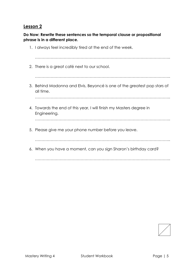**Do Now: Rewrite these sentences so the temporal clause or propositional phrase is in a different place.**



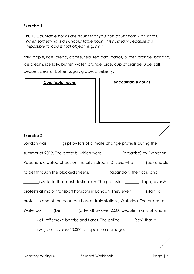**RULE***: Countable nouns are nouns that you can count from 1 onwards. When something is an uncountable noun, it is normally because it is impossible to count that object, e.g. milk.* 

milk, apple, rice, bread, coffee, tea, tea bag, carrot, butter, orange, banana, ice cream, ice lolly, butter, water, orange juice, cup of orange juice, salt, pepper, peanut butter, sugar, grape, blueberry.

*Countable nouns Uncountable nouns* 

#### **Exercise 2**

London was \_\_\_\_\_\_(grip) by lots of climate change protests during the

summer of 2019. The protests, which were \_\_\_\_\_\_\_\_\_\_ (organise) by Extinction

Rebellion, created chaos on the city's streets. Drivers, who \_\_\_\_\_\_(be) unable

to get through the blocked streets, \_\_\_\_\_\_\_(abandon) their cars and

\_\_\_\_\_\_\_\_(walk) to their next destination. The protestors \_\_\_\_\_\_\_(stage) over 50

protests at major transport hotspots in London. They even \_\_\_\_\_\_\_(start) a

protest in one of the country's busiest train stations, Waterloo. The protest at

Waterloo (be) (attend) by over 2,000 people, many of whom

\_\_\_\_\_\_\_(let) off smoke bombs and flares. The police \_\_\_\_\_\_\_(say) that it

\_\_\_\_\_\_\_(will) cost over £350,000 to repair the damage.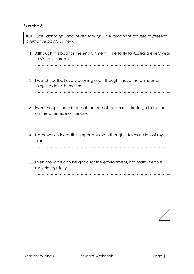**RULE***: Use "although" and "even though" in subordinate clauses to present alternative points of view.*

1. Although it is bad for the environment, I like to fly to Australia every year to visit my parents.

…………………………………………………………………………………………..

2. I watch football every evening even though I have more important things to do with my time.

…………………………………………………………………………………………..

3. Even though there is one at the end of the road, I like to go to the park on the other side of the city.

…………………………………………………………………………………………..

4. Homework is incredibly important even though it takes up lots of my time.

…………………………………………………………………………………………..

5. Even though it can be good for the environment, not many people recycle regularly.

…………………………………………………………………………………………..

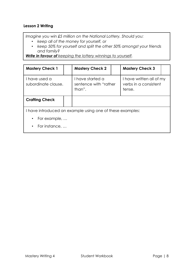## **Lesson 2 Writing**

*Imagine you win £5 million on the National Lottery. Should you:*

- *keep all of the money for yourself, or*
- *keep 50% for yourself and split the other 50% amongst your friends and family?*

*Write in favour of keeping the lottery winnings to yourself.*

| <b>Mastery Check 1</b>                                    |  | <b>Mastery Check 2</b>                              |  | <b>Mastery Check 3</b>                                      |  |
|-----------------------------------------------------------|--|-----------------------------------------------------|--|-------------------------------------------------------------|--|
| I have used a<br>subordinate clause.                      |  | I have started a<br>sentence with "rather<br>than". |  | I have written all of my<br>verbs in a consistent<br>tense. |  |
| <b>Crafting Check</b>                                     |  |                                                     |  |                                                             |  |
| I have introduced an example using one of these examples: |  |                                                     |  |                                                             |  |
| $\cdot$ For example,                                      |  |                                                     |  |                                                             |  |
| For instance,                                             |  |                                                     |  |                                                             |  |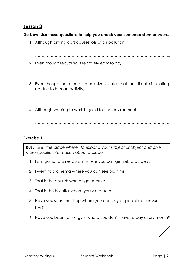## **Do Now: Use these questions to help you check your sentence stem answers.**

1. Although driving cars causes lots of air pollution,



………………………………………………………………………………………….

#### **Exercise 1**

**RULE***: Use "the place where" to expand your subject or object and give more specific information about a place.* 

- 1. I am going to a restaurant where you can get zebra burgers.
- 2. I went to a cinema where you can see old films.
- 3. That is the church where I got married.
- 4. That is the hospital where you were born.
- 5. Have you seen the shop where you can buy a special edition Mars bar?
- 6. Have you been to the gym where you don't have to pay every month?

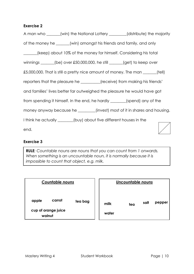| A man who _____(win) the National Lottery _______(distribute) the majority          |  |
|-------------------------------------------------------------------------------------|--|
| of the money he ______(win) amongst his friends and family, and only                |  |
| [keep] about 10% of the money for himself. Considering his total                    |  |
| winnings $\_\_\_\_$ (be) over £50,000,000, he still $\_\_\_\_\_$ (get) to keep over |  |
| £5,000,000. That is still a pretty nice amount of money. The man _____(tell)        |  |
| reporters that the pleasure he _______(receive) from making his friends'            |  |
| and families' lives better far outweighed the pleasure he would have got            |  |
| from spending it himself. In the end, he hardly _______(spend) any of the           |  |
| money anyway because he _______(invest) most of it in shares and housing.           |  |
| I think he actually ______(buy) about five different houses in the                  |  |
| end.                                                                                |  |

#### **Exercise 3**

**RULE***: Countable nouns are nouns that you can count from 1 onwards. When something is an uncountable noun, it is normally because it is impossible to count that object, e.g. milk.* 

| <b>Countable nouns</b>                           |         |               | Uncountable nouns |      |
|--------------------------------------------------|---------|---------------|-------------------|------|
| carrot<br>apple<br>cup of orange juice<br>walnut | tea bag | milk<br>water | tea               | salt |

| <b>Uncountable nouns</b> |     |      |        |  |  |  |
|--------------------------|-----|------|--------|--|--|--|
| milk<br>water            | tea | salt | pepper |  |  |  |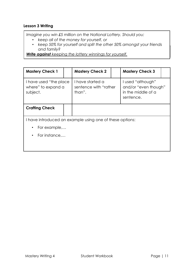#### **Lesson 3 Writing**

*Imagine you win £5 million on the National Lottery. Should you:*

- *keep all of the money for yourself, or*
- *keep 50% for yourself and split the other 50% amongst your friends and family?*

*Write against keeping the lottery winnings for yourself.*

| <b>Mastery Check 1</b>                                    |  | <b>Mastery Check 2</b>                                   |  | <b>Mastery Check 3</b>                                                       |  |
|-----------------------------------------------------------|--|----------------------------------------------------------|--|------------------------------------------------------------------------------|--|
| I have used "the place"<br>where" to expand a<br>subject. |  | I have started a<br>sentence with "rather<br>than".      |  | I used "although"<br>and/or "even though"<br>in the middle of a<br>sentence. |  |
| <b>Crafting Check</b>                                     |  |                                                          |  |                                                                              |  |
|                                                           |  | I have introduced an example using one of these options: |  |                                                                              |  |
| For example,<br>$\bullet$                                 |  |                                                          |  |                                                                              |  |
| For instance<br>$\bullet$                                 |  |                                                          |  |                                                                              |  |
|                                                           |  |                                                          |  |                                                                              |  |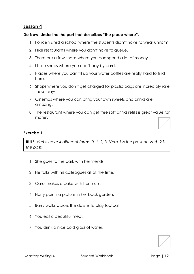#### **Do Now: Underline the part that describes "the place where".**

- 1. I once visited a school where the students didn't have to wear uniform.
- 2. I like restaurants where you don't have to queue.
- 3. There are a few shops where you can spend a lot of money.
- 4. I hate shops where you can't pay by card.
- 5. Places where you can fill up your water bottles are really hard to find here.
- 6. Shops where you don't get charged for plastic bags are incredibly rare these days.
- 7. Cinemas where you can bring your own sweets and drinks are amazing.
- 8. The restaurant where you can get free soft drinks refills is great value for money.

#### **Exercise 1**

**RULE***: Verbs have 4 different forms: 0, 1, 2, 3. Verb 1 is the present. Verb 2 is the past.* 

- 1. She goes to the park with her friends.
- 2. He talks with his colleagues all of the time.
- 3. Carol makes a cake with her mum.
- 4. Harry paints a picture in her back garden.
- 5. Barry walks across the downs to play football.
- 6. You eat a beautiful meal.
- 7. You drink a nice cold glass of water.

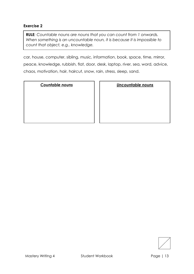**RULE***: Countable nouns are nouns that you can count from 1 onwards. When something is an uncountable noun, it is because it is impossible to count that object, e.g.. knowledge.* 

car, house, computer, sibling, music, information, book, space, time, mirror, peace, knowledge, rubbish, flat, door, desk, laptop, river, sea, word, advice, chaos, motivation, hair, haircut, snow, rain, stress, sleep, sand.

*Countable nouns Uncountable nouns* 

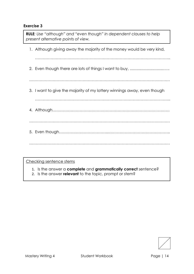1. Although giving away the majority of the money would be very kind, ………………………………………………………………………………………….. 2. Even though there are lots of things I want to buy, ...............................….. ……………………………………………………………………………………………… 3. I want to give the majority of my lottery winnings away, even though ………………………………………………………………………………………….. 4. Although……………………………………………………………………………… ……………………………………………………………………………………………… 5. Even though………………………………...……………………………………….. ……………………………………………………………………………………………… **RULE***: Use "although" and "even though" in dependent clauses to help present alternative points of view.*

Checking sentence stems

- 1. Is the answer a **complete** and **grammatically correct** sentence?
- 2. Is the answer **relevant** to the topic, prompt or stem?

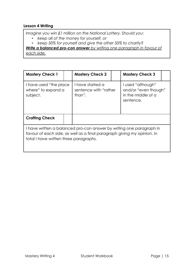## **Lesson 4 Writing**

*Imagine you win £1 million on the National Lottery. Should you:*

- *keep all of the money for yourself, or*
- *keep 50% for yourself and give the other 50% to charity?*

*Write a balanced pro-con answer by writing one paragraph in favour of each side.* 

| <b>Mastery Check 1</b>                                                                                                                                                                    |  | <b>Mastery Check 2</b>                              |  | <b>Mastery Check 3</b>                                                       |  |
|-------------------------------------------------------------------------------------------------------------------------------------------------------------------------------------------|--|-----------------------------------------------------|--|------------------------------------------------------------------------------|--|
| I have used "the place"<br>where" to expand a<br>subject.                                                                                                                                 |  | I have started a<br>sentence with "rather<br>than". |  | I used "although"<br>and/or "even though"<br>in the middle of a<br>sentence. |  |
| <b>Crafting Check</b>                                                                                                                                                                     |  |                                                     |  |                                                                              |  |
| I have written a balanced pro-con answer by writing one paragraph in<br>favour of each side, as well as a final paragraph giving my opinion. In<br>total I have written three paragraphs. |  |                                                     |  |                                                                              |  |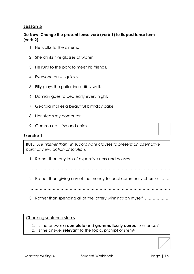## **Do Now: Change the present tense verb (verb 1) to its past tense form (verb 2).**

- 1. He walks to the cinema.
- 2. She drinks five glasses of water.
- 3. He runs to the park to meet his friends.
- 4. Everyone drinks quickly.
- 5. Billy plays the guitar incredibly well.
- 6. Damian goes to bed early every night.
- 7. Georgia makes a beautiful birthday cake.
- 8. Hari steals my computer.
- 9. Gemma eats fish and chips.

#### **Exercise 1**

**RULE***: Use "rather than" in subordinate clauses to present an alternative point of view, action or solution.* 

- 1. Rather than buy lots of expensive cars and houses, ………………………
- ………………………………………………………………………………………………
- 2. Rather than giving any of the money to local community charities, …….

………………………………………………………………………………………………

3. Rather than spending all of the lottery winnings on myself, ……………….

………………………………………………………………………………………………

Checking sentence stems

- 1. Is the answer a **complete** and **grammatically correct** sentence?
- 2. Is the answer **relevant** to the topic, prompt or stem?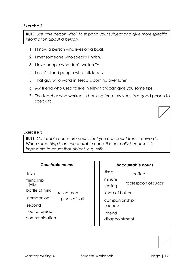**RULE***: Use "the person who" to expand your subject and give more specific information about a person.* 

- 1. I know a person who lives on a boat.
- 2. I met someone who speaks Finnish.
- 3. I love people who don't watch TV.
- 4. I can't stand people who talk loudly.
- 5. That guy who works in Tesco is coming over later.
- 6. My friend who used to live in New York can give you some tips.
- 7. The teacher who worked in banking for a few years is a good person to speak to.

#### **Exercise 3**

**RULE***: Countable nouns are nouns that you can count from 1 onwards. When something is an uncountable noun, it is normally because it is impossible to count that object, e.g. milk.* 

#### **Countable nouns**

love

- friendship
- jelly
- bottle of milk resentment
- companion pinch of salt

second

loaf of bread

communication

| Uncountable nouns        |                     |  |  |  |  |  |
|--------------------------|---------------------|--|--|--|--|--|
| time                     | coffee              |  |  |  |  |  |
| minute                   |                     |  |  |  |  |  |
| feeling                  | tablespoon of sugar |  |  |  |  |  |
| knob of butter           |                     |  |  |  |  |  |
| companionship<br>sadness |                     |  |  |  |  |  |
| friend<br>disappointment |                     |  |  |  |  |  |

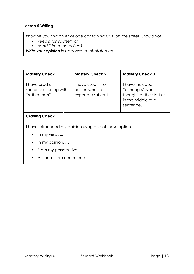## **Lesson 5 Writing**

*Imagine you find an envelope containing £250 on the street. Should you:*

- *keep it for yourself, or*
- *hand it in to the police?*

*Write your opinion in response to this statement.* 

| <b>Mastery Check 1</b>                                    |  | <b>Mastery Check 2</b>                                   |                                                                                                 | <b>Mastery Check 3</b> |  |
|-----------------------------------------------------------|--|----------------------------------------------------------|-------------------------------------------------------------------------------------------------|------------------------|--|
| I have used a<br>sentence starting with<br>"rather than". |  | I have used "the<br>person who" to<br>expand a subject.  | I have included<br>"although/even<br>though" at the start or<br>in the middle of a<br>sentence. |                        |  |
| <b>Crafting Check</b>                                     |  |                                                          |                                                                                                 |                        |  |
|                                                           |  | I have introduced my opinion using one of these options: |                                                                                                 |                        |  |
| In my view,                                               |  |                                                          |                                                                                                 |                        |  |
| In my opinion, $\ldots$                                   |  |                                                          |                                                                                                 |                        |  |
| From my perspective,                                      |  |                                                          |                                                                                                 |                        |  |

• As far as I am concerned, …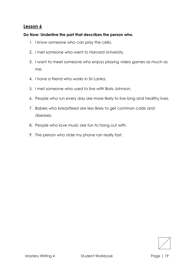#### **Do Now: Underline the part that describes the person who.**

- 1. I know someone who can play the cello.
- 2. I met someone who went to Harvard University.
- 3. I want to meet someone who enjoys playing video games as much as me.
- 4. I have a friend who works in Sri Lanka.
- 5. I met someone who used to live with Boris Johnson.
- 6. People who run every day are more likely to live long and healthy lives.
- 7. Babies who breastfeed are less likely to get common colds and diseases.
- 8. People who love music are fun to hang out with.
- 9. The person who stole my phone ran really fast.

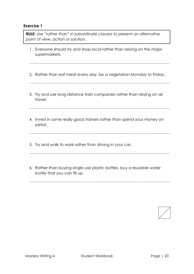**RULE***: Use "rather than" in subordinate clauses to present an alternative point of view, action or solution.* 

1. Everyone should try and shop local rather than relying on the major supermarkets.

………………………………………………………………………………………………

2. Rather than eat meat every day, be a vegetarian Monday to Friday.

………………………………………………………………………………………………

3. Try and use long-distance train companies rather than relying on air travel.

………………………………………………………………………………………………

4. Invest in some really good trainers rather than spend your money on petrol.

………………………………………………………………………………………………

5. Try and walk to work rather than driving in your car.

………………………………………………………………………………………………

6. Rather than buying single-use plastic bottles, buy a reusable water bottle that you can fill up.

………………………………………………………………………………………………

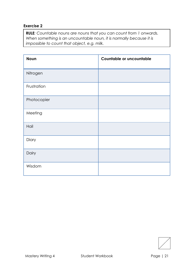**RULE***: Countable nouns are nouns that you can count from 1 onwards. When something is an uncountable noun, it is normally because it is impossible to count that object, e.g. milk.* 

| <b>Noun</b> | Countable or uncountable |
|-------------|--------------------------|
| Nitrogen    |                          |
| Frustration |                          |
| Photocopier |                          |
| Meeting     |                          |
| Hail        |                          |
| Diary       |                          |
| Dairy       |                          |
| Wisdom      |                          |

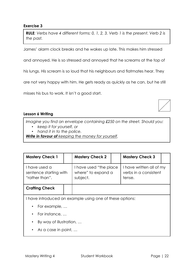**RULE***: Verbs have 4 different forms: 0, 1, 2, 3. Verb 1 is the present. Verb 2 is the past.* 

James' alarm clock breaks and he wakes up late. This makes him stressed

and annoyed. He is so stressed and annoyed that he screams at the top of

his lungs. His scream is so loud that his neighbours and flatmates hear. They

are not very happy with him. He gets ready as quickly as he can, but he still

misses his bus to work. It isn't a good start.

#### **Lesson 6 Writing**

*Imagine you find an envelope containing £250 on the street. Should you:*

- *keep it for yourself, or*
- *hand it in to the police.*

*Write in favour of keeping the money for yourself.* 

| <b>Mastery Check 1</b>                                    |  | <b>Mastery Check 2</b>                                    |  | <b>Mastery Check 3</b>                                      |  |
|-----------------------------------------------------------|--|-----------------------------------------------------------|--|-------------------------------------------------------------|--|
| I have used a<br>sentence starting with<br>"rather than". |  | I have used "the place"<br>where" to expand a<br>subject. |  | I have written all of my<br>verbs in a consistent<br>tense. |  |
| <b>Crafting Check</b>                                     |  |                                                           |  |                                                             |  |
|                                                           |  |                                                           |  |                                                             |  |

I have introduced an example using one of these options:

- For example, …
- For instance, …
- By way of illustration, …
- As a case in point, …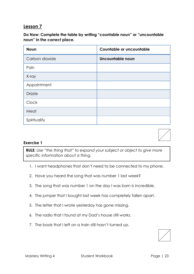**Do Now: Complete the table by writing "countable noun" or "uncountable noun" in the correct place.**

| <b>Noun</b>    | Countable or uncountable |
|----------------|--------------------------|
| Carbon dioxide | Uncountable noun         |
| Pain           |                          |
| X-ray          |                          |
| Appointment    |                          |
| <b>Drizzle</b> |                          |
| Clock          |                          |
| Meat           |                          |
| Spirituality   |                          |



#### **Exercise 1**

**RULE***: Use "the thing that" to expand your subject or object to give more specific information about a thing.* 

- 1. I want headphones that don't need to be connected to my phone.
- 2. Have you heard the song that was number 1 last week?
- 3. The song that was number 1 on the day I was born is incredible.
- 4. The jumper that I bought last week has completely fallen apart.
- 5. The letter that I wrote yesterday has gone missing.
- 6. The radio that I found at my Dad's house still works.
- 7. The book that I left on a train still hasn't turned up.

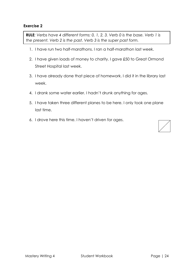**RULE***: Verbs have 4 different forms: 0, 1, 2, 3. Verb 0 is the base. Verb 1 is the present. Verb 2 is the past. Verb 3 is the super past form.*

- 1. I have run two half-marathons. I ran a half-marathon last week.
- 2. I have given loads of money to charity. I gave £50 to Great Ormond Street Hospital last week.
- 3. I have already done that piece of homework. I did it in the library last week.
- 4. I drank some water earlier. I hadn't drunk anything for ages.
- 5. I have taken three different planes to be here. I only took one plane last time.
- 6. I drove here this time. I haven't driven for ages.

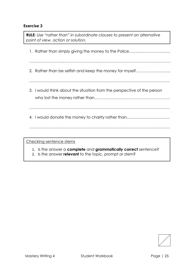**RULE***: Use "rather than" in subordinate clauses to present an alternative point of view, action or solution.* 

1. Rather than simply giving the money to the Police……….……………….… ……………………...………………………………………………………………………. 2. Rather than be selfish and keep the money for myself.......................... ……………………………………………………………………………………………… 3. I would think about the situation from the perspective of the person who lost the money rather than…………………………………………………. ……………………………………………………………………………………………… 4. I would donate the money to charity rather than…………………………… ………………………………………………………………………………………………

Checking sentence stems

1. Is the answer a **complete** and **grammatically correct** sentence?

2. Is the answer **relevant** to the topic, prompt or stem?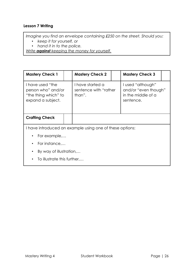## **Lesson 7 Writing**

*Imagine you find an envelope containing £250 on the street. Should you:*

- *keep it for yourself, or*
- *hand it in to the police.*

*Write against keeping the money for yourself.* 

| <b>Mastery Check 1</b>                                                              |  | <b>Mastery Check 2</b>                              |  | <b>Mastery Check 3</b>                                                       |  |
|-------------------------------------------------------------------------------------|--|-----------------------------------------------------|--|------------------------------------------------------------------------------|--|
| I have used "the<br>person who" and/or<br>"the thing which" to<br>expand a subject. |  | I have started a<br>sentence with "rather<br>than". |  | I used "although"<br>and/or "even though"<br>in the middle of a<br>sentence. |  |
| <b>Crafting Check</b>                                                               |  |                                                     |  |                                                                              |  |
| I have introduced an example using one of these options:                            |  |                                                     |  |                                                                              |  |
| $\cdot$ For example,                                                                |  |                                                     |  |                                                                              |  |
| For instance,                                                                       |  |                                                     |  |                                                                              |  |

- By way of illustration,…
- To illustrate this further,…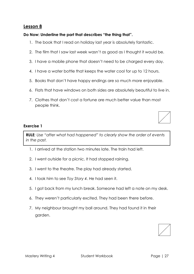#### **Do Now: Underline the part that describes "the thing that".**

- 1. The book that I read on holiday last year is absolutely fantastic.
- 2. The film that I saw last week wasn't as good as I thought it would be.
- 3. I have a mobile phone that doesn't need to be charged every day.
- 4. I have a water bottle that keeps the water cool for up to 12 hours.
- 5. Books that don't have happy endings are so much more enjoyable.
- 6. Flats that have windows on both sides are absolutely beautiful to live in.
- 7. Clothes that don't cost a fortune are much better value than most people think.

#### **Exercise 1**

**RULE***: Use "after what had happened" to clearly show the order of events in the past.* 

- 1. I arrived at the station two minutes late. The train had left.
- 2. I went outside for a picnic. It had stopped raining.
- 3. I went to the theatre. The play had already started.
- 4. I took him to see *Toy Story 4*. He had seen it.
- 5. I got back from my lunch break. Someone had left a note on my desk.
- 6. They weren't particularly excited. They had been there before.
- 7. My neighbour brought my ball around. They had found it in their garden.

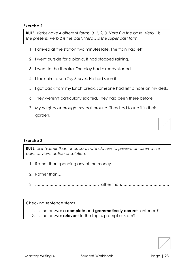**RULE***: Verbs have 4 different forms: 0, 1, 2, 3. Verb 0 is the base. Verb 1 is the present. Verb 2 is the past. Verb 3 is the super past form.*

- 1. I arrived at the station two minutes late. The train had left.
- 2. I went outside for a picnic. It had stopped raining.
- 3. I went to the theatre. The play had already started.
- 4. I took him to see *Toy Story 4*. He had seen it.
- 5. I got back from my lunch break. Someone had left a note on my desk.
- 6. They weren't particularly excited. They had been there before.
- 7. My neighbour brought my ball around. They had found it in their garden.

#### **Exercise 3**

**RULE***: Use "rather than" in subordinate clauses to present an alternative point of view, action or solution.* 

- 1. Rather than spending any of the money…
- 2. Rather than…
- 3. …………………………………………. rather than……………………………….

#### Checking sentence stems

- 1. Is the answer a **complete** and **grammatically correct** sentence?
- 2. Is the answer **relevant** to the topic, prompt or stem?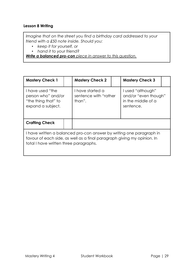#### **Lesson 8 Writing**

*Imagine that on the street you find a birthday card addressed to your friend with a £50 note inside. Should you:*

- *keep it for yourself, or*
- *hand it to your friend?*

*Write a balanced pro-con piece in answer to this question.* 

| <b>Mastery Check 1</b>                                                                                                                                                                    |  | <b>Mastery Check 2</b>                              |  | <b>Mastery Check 3</b>                                                       |  |
|-------------------------------------------------------------------------------------------------------------------------------------------------------------------------------------------|--|-----------------------------------------------------|--|------------------------------------------------------------------------------|--|
| I have used "the<br>person who" and/or<br>"the thing that" to<br>expand a subject.                                                                                                        |  | I have started a<br>sentence with "rather<br>than". |  | I used "although"<br>and/or "even though"<br>in the middle of a<br>sentence. |  |
| <b>Crafting Check</b>                                                                                                                                                                     |  |                                                     |  |                                                                              |  |
| I have written a balanced pro-con answer by writing one paragraph in<br>favour of each side, as well as a final paragraph giving my opinion. In<br>total I have written three paragraphs. |  |                                                     |  |                                                                              |  |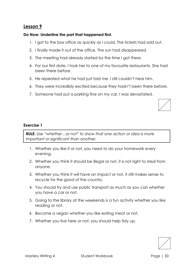#### **Do Now: Underline the part that happened first.**

- 1. I got to the box office as quickly as I could. The tickets had sold out.
- 2. I finally made it out of the office. The sun had disappeared.
- 3. The meeting had already started by the time I got there.
- 4. For our first date, I took her to one of my favourite restaurants. She had been there before.
- 5. He repeated what he had just told me. I still couldn't hear him.
- 6. They were incredibly excited because they hadn't been there before.
- 7. Someone had put a parking fine on my car. I was devastated.

#### **Exercise 1**

**RULE***: Use "whether…or not" to show that one action or idea is more important or significant than another.* 

- 1. Whether you like it or not, you need to do your homework every evening.
- 2. Whether you think it should be illegal or not, it is not right to steal from anyone.
- 3. Whether you think it will have an impact or not, it still makes sense to recycle for the good of the country.
- 4. You should try and use public transport as much as you can whether you have a car or not.
- 5. Going to the library at the weekends is a fun activity whether you like reading or not.
- 6. Become a vegan whether you like eating meat or not.
- 7. Whether you live here or not, you should help tidy up.

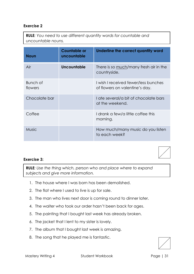**RULE***: You need to use different quantity words for countable and uncountable nouns.* 

| <b>Noun</b>         | <b>Countable or</b><br>uncountable | Underline the correct quantity word                                    |
|---------------------|------------------------------------|------------------------------------------------------------------------|
| Air                 | Uncountable                        | There is so much/many fresh air in the<br>countryside.                 |
| Bunch of<br>flowers |                                    | I wish I received fewer/less bunches<br>of flowers on valentine's day. |
| Chocolate bar       |                                    | I ate several/a bit of chocolate bars<br>at the weekend.               |
| Coffee              |                                    | I drank a few/a little coffee this<br>morning.                         |
| <b>Music</b>        |                                    | How much/many music do you listen<br>to each week?                     |

#### **Exercise 3:**

**RULE***: Use the thing which, person who and place where to expand subjects and give more information.*

- 1. The house where I was born has been demolished.
- 2. The flat where I used to live is up for sale.
- 3. The man who lives next door is coming round to dinner later.
- 4. The waiter who took our order hasn't been back for ages.
- 5. The painting that I bought last week has already broken.
- 6. The jacket that I lent to my sister is lovely.
- 7. The album that I bought last week is amazing.
- 8. The song that he played me is fantastic.

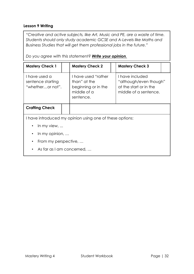#### **Lesson 9 Writing**

*"Creative and active subjects, like Art, Music and PE, are a waste of time. Students should only study academic GCSE and A-Levels like Maths and Business Studies that will get them professional jobs in the future."*

*Do you agree with this statement? Write your opinion.*

| <b>Mastery Check 1</b>                                   |  | <b>Mastery Check 2</b>                                                                 |  | <b>Mastery Check 3</b>                                                                       |  |
|----------------------------------------------------------|--|----------------------------------------------------------------------------------------|--|----------------------------------------------------------------------------------------------|--|
| I have used a<br>sentence starting<br>"whetheror not".   |  | I have used "rather<br>than" at the<br>beginning or in the<br>middle of a<br>sentence. |  | I have included<br>"although/even though"<br>at the start or in the<br>middle of a sentence. |  |
| <b>Crafting Check</b>                                    |  |                                                                                        |  |                                                                                              |  |
| I have introduced my opinion using one of these options: |  |                                                                                        |  |                                                                                              |  |
| In my view, $\ldots$<br>$\bullet$                        |  |                                                                                        |  |                                                                                              |  |
| In my opinion, $\ldots$<br>$\bullet$                     |  |                                                                                        |  |                                                                                              |  |
| From my perspective,<br>$\bullet$                        |  |                                                                                        |  |                                                                                              |  |
| As far as I am concerned,<br>٠                           |  |                                                                                        |  |                                                                                              |  |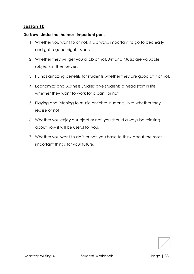#### **Do Now: Underline the most important part.**

- 1. Whether you want to or not, it is always important to go to bed early and get a good night's sleep.
- 2. Whether they will get you a job or not, Art and Music are valuable subjects in themselves.
- 3. PE has amazing benefits for students whether they are good at it or not.
- 4. Economics and Business Studies give students a head start in life whether they want to work for a bank or not.
- 5. Playing and listening to music enriches students' lives whether they realise or not.
- 6. Whether you enjoy a subject or not, you should always be thinking about how it will be useful for you.
- 7. Whether you want to do it or not, you have to think about the most important things for your future.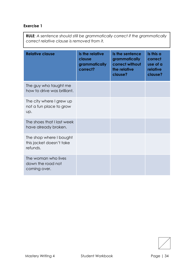| <b>RULE:</b> A sentence should still be grammatically correct if the grammatically |
|------------------------------------------------------------------------------------|
| correct relative clause is removed from it.                                        |

| <b>Relative clause</b>                                          | Is the relative<br>clause<br>grammatically<br>correct? | Is the sentence<br>grammatically<br>correct without<br>the relative<br>clause? | Is this a<br>correct<br>use of a<br>relative<br>clause? |
|-----------------------------------------------------------------|--------------------------------------------------------|--------------------------------------------------------------------------------|---------------------------------------------------------|
| The guy who taught me<br>how to drive was brilliant.            |                                                        |                                                                                |                                                         |
| The city where I grew up<br>not a fun place to grow<br>Up.      |                                                        |                                                                                |                                                         |
| The shoes that I last week<br>have already broken.              |                                                        |                                                                                |                                                         |
| The shop where I bought<br>this jacket doesn't take<br>refunds. |                                                        |                                                                                |                                                         |
| The woman who lives<br>down the road not<br>coming over.        |                                                        |                                                                                |                                                         |

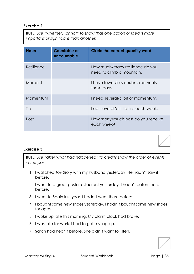**RULE***: Use "whether…or not" to show that one action or idea is more important or significant than another.* 

| <b>Noun</b> | <b>Countable or</b><br>uncountable | Circle the correct quantity word                             |
|-------------|------------------------------------|--------------------------------------------------------------|
| Resilience  |                                    | How much/many resilience do you<br>need to climb a mountain. |
| Moment      |                                    | I have fewer/less anxious moments<br>these days.             |
| Momentum    |                                    | I need several/a bit of momentum.                            |
| Tin         |                                    | I eat several/a little tins each week.                       |
| Post        |                                    | How many/much post do you receive<br>each week?              |

#### **Exercise 3**

**RULE***: Use "after what had happened" to clearly show the order of events in the past.* 

- 1. I watched *Toy Story* with my husband yesterday. He hadn't saw it before.
- 2. I went to a great pasta restaurant yesterday. I hadn't eaten there before.
- 3. I went to Spain last year. I hadn't went there before.
- 4. I bought some new shoes yesterday. I hadn't bought some new shoes for ages.
- 5. I woke up late this morning. My alarm clock had broke.
- 6. I was late for work. I had forgot my laptop.
- 7. Sarah had hear it before. She didn't want to listen.

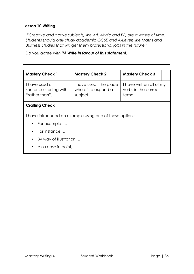#### **Lesson 10 Writing**

*"Creative and active subjects, like Art, Music and PE, are a waste of time. Students should only study academic GCSE and A-Levels like Maths and Business Studies that will get them professional jobs in the future."*

*Do you agree with it? Write in favour of this statement.*

| <b>Mastery Check 1</b>                                    |  | <b>Mastery Check 2</b>                                    |  | <b>Mastery Check 3</b>                                     |  |
|-----------------------------------------------------------|--|-----------------------------------------------------------|--|------------------------------------------------------------|--|
| I have used a<br>sentence starting with<br>"rather than". |  | I have used "the place"<br>where" to expand a<br>subject. |  | I have written all of my<br>verbs in the correct<br>tense. |  |
| <b>Crafting Check</b>                                     |  |                                                           |  |                                                            |  |
| I have introduced an example using one of these options:  |  |                                                           |  |                                                            |  |
| For example,                                              |  |                                                           |  |                                                            |  |
| For instance<br>$\bullet$                                 |  |                                                           |  |                                                            |  |
| By way of illustration,<br>$\bullet$                      |  |                                                           |  |                                                            |  |
| • As a case in point, $\dots$                             |  |                                                           |  |                                                            |  |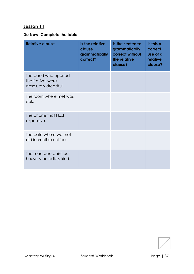## **Do Now: Complete the table**

| <b>Relative clause</b>                                           | Is the relative<br>clause<br>grammatically<br>correct? | Is the sentence<br>grammatically<br>correct without<br>the relative<br>clause? | Is this a<br>correct<br>use of a<br>relative<br>clause? |
|------------------------------------------------------------------|--------------------------------------------------------|--------------------------------------------------------------------------------|---------------------------------------------------------|
| The band who opened<br>the festival were<br>absolutely dreadful. |                                                        |                                                                                |                                                         |
| The room where met was<br>cold.                                  |                                                        |                                                                                |                                                         |
| The phone that I lost<br>expensive.                              |                                                        |                                                                                |                                                         |
| The café where we met<br>did incredible coffee.                  |                                                        |                                                                                |                                                         |
| The man who paint our<br>house is incredibly kind.               |                                                        |                                                                                |                                                         |

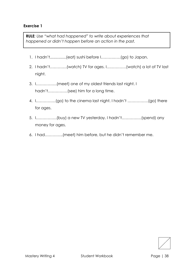**RULE***: Use "what had happened" to write about experiences that happened or didn't happen before an action in the past.*

- 1. I hadn't...............(eat) sushi before I……………(go) to Japan.
- 2. I hadn't………….(watch) TV for ages. I……………(watch) a lot of TV last night.
- 3. I…………….(meet) one of my oldest friends last night. I hadn't……………(see) him for a long time.
- 4. I……………(go) to the cinema last night. I hadn't …………….(go) there for ages.
- 5. I…………….(buy) a new TV yesterday. I hadn't……………(spend) any money for ages.
- 6. I had…………..(meet) him before, but he didn't remember me.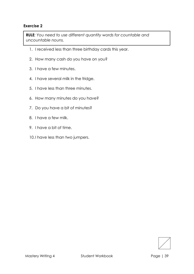**RULE***: You need to use different quantity words for countable and uncountable nouns.* 

- 1. I received less than three birthday cards this year.
- 2. How many cash do you have on you?
- 3. I have a few minutes.
- 4. I have several milk in the fridge.
- 5. I have less than three minutes.
- 6. How many minutes do you have?
- 7. Do you have a bit of minutes?
- 8. I have a few milk.
- 9. I have a bit of time.
- 10.I have less than two jumpers.

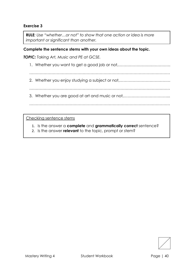**RULE***: Use "whether…or not" to show that one action or idea is more important or significant than another.* 

**Complete the sentence stems with your own ideas about the topic.**

*TOPIC: Taking Art, Music and PE at GCSE.*

- 1. Whether you want to get a good job or not,………………………………….
- ………………………………………………………………………………………………
- 2. Whether you enjoy studying a subject or not,…………………………………
- ………………………………………………………………………………………………
- 3. Whether you are good at art and music or not,……………………………...

Checking sentence stems

- 1. Is the answer a **complete** and **grammatically correct** sentence?
- 2. Is the answer **relevant** to the topic, prompt or stem?

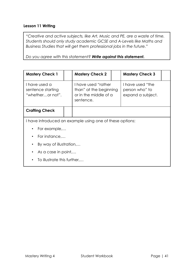## **Lesson 11 Writing**

*"Creative and active subjects, like Art, Music and PE, are a waste of time. Students should only study academic GCSE and A-Levels like Maths and Business Studies that will get them professional jobs in the future."*

*Do you agree with this statement? Write against this statement.*

| <b>Mastery Check 1</b>                                 |                                                          | <b>Mastery Check 2</b>                                                              |  | <b>Mastery Check 3</b>                                  |  |  |
|--------------------------------------------------------|----------------------------------------------------------|-------------------------------------------------------------------------------------|--|---------------------------------------------------------|--|--|
| I have used a<br>sentence starting<br>"whetheror not". |                                                          | I have used "rather<br>than" at the beginning<br>or in the middle of a<br>sentence. |  | I have used "the<br>person who" to<br>expand a subject. |  |  |
| <b>Crafting Check</b>                                  |                                                          |                                                                                     |  |                                                         |  |  |
|                                                        | I have introduced an example using one of these options: |                                                                                     |  |                                                         |  |  |
| $\bullet$                                              | For example,                                             |                                                                                     |  |                                                         |  |  |
| $\bullet$                                              | For instance                                             |                                                                                     |  |                                                         |  |  |
| By way of illustration,<br>$\bullet$                   |                                                          |                                                                                     |  |                                                         |  |  |
| As a case in point<br>$\bullet$                        |                                                          |                                                                                     |  |                                                         |  |  |
| $\bullet$                                              | To illustrate this further                               |                                                                                     |  |                                                         |  |  |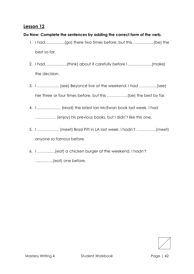## **Do Now: Complete the sentences by adding the correct form of the verb.**

- 1. I had……………(go) there two times before, but this……………..(be) the best so far.
- 2. I had……………..(think) about it carefully before I ………………(make) the decision.
- 3. I …………….. (see) Beyoncé live at the weekend. I had …………..(see) her three or four times before, but this …………….(be) the best by far.
- 4. I ……………… (read) the latest Ian McEwan book last week. I had ……………. (enjoy) his previous books, but I didn't like this one.
- 5. I …………….. (meet) Brad Pitt in LA last week. I hadn't ……………(meet) anyone so famous before.
- 6. I …………..(eat) a chicken burger at the weekend. I hadn't …………..(eat) one before.

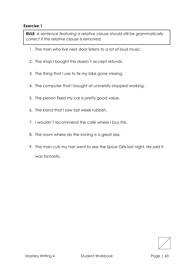**RULE***: A sentence featuring a relative clause should still be grammatically correct if the relative clause is removed.* 

- 1. The man who live next door listens to a lot of loud music.
- 2. The shop I bought this doesn't accept refunds.
- 3. The thing that I use to fix my bike gone missing.
- 4. The computer that I bought at university stopped working.
- 5. The person fixed my car is pretty good value.
- 6. The band that I saw last week rubbish.
- 7. I wouldn't recommend the café where I buy this.
- 8. The room where do the ironing is a great size.
- 9. The man cuts my hair went to see the Spice Girls last night. He said it was fantastic.

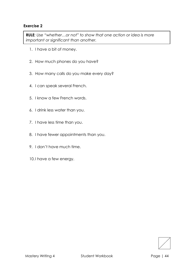**RULE***: Use "whether…or not" to show that one action or idea is more important or significant than another.* 

- 1. I have a bit of money.
- 2. How much phones do you have?
- 3. How many calls do you make every day?
- 4. I can speak several French.
- 5. I know a few French words.
- 6. I drink less water than you.
- 7. I have less time than you.
- 8. I have fewer appointments than you.
- 9. I don't have much time.
- 10.I have a few energy.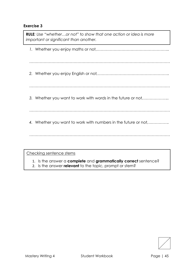*1.* Whether you enjoy maths or not,*……………………………………………….. ……………………………………………………………………………………………… 2.* Whether you enjoy English or not*,………………………………………………. ……………………………………………………………………………………………… 3.* Whether you want to work with words in the future or not*,……………….. ……………………………………………………………………………………………… 4.* Whether you want to work with numbers in the future or not*,……………. ………………………………………………………………………………………………* **RULE***: Use "whether…or not" to show that one action or idea is more important or significant than another.*  Checking sentence stems

- 1. Is the answer a **complete** and **grammatically correct** sentence?
- 2. Is the answer **relevant** to the topic, prompt or stem?

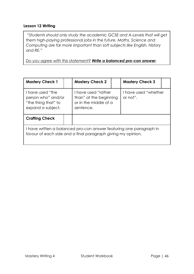## **Lesson 12 Writing**

*"Students should only study the academic GCSE and A-Levels that will get them high-paying professional jobs in the future. Maths, Science and Computing are far more important than soft subjects like English, History and RE."* 

*Do you agree with this statement? Write a balanced pro-con answer.* 

| <b>Mastery Check 1</b>                                                                                                              |  | <b>Mastery Check 2</b>                                                              |  | <b>Mastery Check 3</b>           |  |
|-------------------------------------------------------------------------------------------------------------------------------------|--|-------------------------------------------------------------------------------------|--|----------------------------------|--|
| I have used "the<br>person who" and/or<br>"the thing that" to<br>expand a subject.                                                  |  | I have used "rather<br>than" at the beginning<br>or in the middle of a<br>sentence. |  | I have used "whether<br>or not". |  |
| <b>Crafting Check</b>                                                                                                               |  |                                                                                     |  |                                  |  |
| I have written a balanced pro-con answer featuring one paragraph in<br>favour of each side and a final paragraph giving my opinion. |  |                                                                                     |  |                                  |  |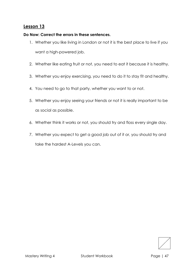### **Do Now: Correct the errors in these sentences.**

- 1. Whether you like living in London or not it is the best place to live if you want a high-powered job.
- 2. Whether like eating fruit or not, you need to eat it because it is healthy.
- 3. Whether you enjoy exercising, you need to do it to stay fit and healthy.
- 4. You need to go to that party, whether you want to or not.
- 5. Whether you enjoy seeing your friends or not it is really important to be as social as possible.
- 6. Whether think it works or not, you should try and floss every single day.
- 7. Whether you expect to get a good job out of it or, you should try and take the hardest A-Levels you can.

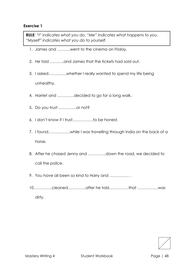**RULE***: "I" indicates what you do. "Me" indicates what happens to you. "Myself" indicates what you do to yourself.* 

- 1. James and ……….went to the cinema on Friday.
- 2. He told ………..and James that the tickets had sold out.
- 3. I asked……….….whether I really wanted to spend my life being unhealthy.
- 4. Harriet and ………….decided to go for a long walk.
- 5. Do you trust …………..or not?
- 6. I don't know if I trust…………….to be honest.
- 7. I found……………..while I was travelling through India on the back of a horse.
- 8. After he chased Jenny and …………..down the road, we decided to call the police.
- 9. You have all been so kind to Harry and …………… .
- 10.………….cleaned…………..after he told……………that …………….was dirty.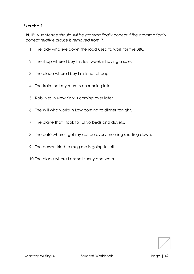**RULE***: A sentence should still be grammatically correct if the grammatically correct relative clause is removed from it.* 

- 1. The lady who live down the road used to work for the BBC.
- 2. The shop where I buy this last week is having a sale.
- 3. The place where I buy I milk not cheap.
- 4. The train that my mum is on running late.
- 5. Rob lives in New York is coming over later.
- 6. The Will who works in Law coming to dinner tonight.
- 7. The plane that I took to Tokyo beds and duvets.
- 8. The café where I get my coffee every morning shutting down.
- 9. The person tried to mug me is going to jail.
- 10. The place where I am sat sunny and warm.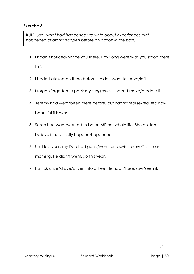**RULE***: Use "what had happened" to write about experiences that happened or didn't happen before an action in the past.*

- 1. I hadn't noticed/notice you there. How long were/was you stood there for?
- 2. I hadn't ate/eaten there before. I didn't want to leave/left.
- 3. I forgot/forgotten to pack my sunglasses. I hadn't make/made a list.
- 4. Jeremy had went/been there before, but hadn't realise/realised how beautiful it is/was.
- 5. Sarah had want/wanted to be an MP her whole life. She couldn't believe it had finally happen/happened.
- 6. Until last year, my Dad had gone/went for a swim every Christmas morning. He didn't went/go this year.
- 7. Patrick drive/drove/driven into a tree. He hadn't see/saw/seen it.

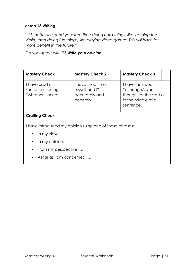## **Lesson 13 Writing**

"*It is better to spend your free time doing hard things, like learning the violin, than doing fun things, like playing video games. This will have far more benefit in the future."*

*Do you agree with it? Write your opinion.* 

| <b>Mastery Check 1</b>                                 |  | <b>Mastery Check 2</b>                                            |  | <b>Mastery Check 3</b>                                                                          |
|--------------------------------------------------------|--|-------------------------------------------------------------------|--|-------------------------------------------------------------------------------------------------|
| I have used a<br>sentence starting<br>"whetheror not". |  | I have used "me,<br>myself and I"<br>accurately and<br>correctly. |  | I have included<br>"although/even<br>though" at the start or<br>in the middle of a<br>sentence. |
| <b>Crafting Check</b>                                  |  |                                                                   |  |                                                                                                 |
|                                                        |  | I have introduced my opinion using one of these phrases:          |  |                                                                                                 |
| In my view, $\ldots$<br>$\bullet$                      |  |                                                                   |  |                                                                                                 |
| In my opinion, $\ldots$<br>٠                           |  |                                                                   |  |                                                                                                 |
| From my perspective,<br>$\bullet$                      |  |                                                                   |  |                                                                                                 |

• As far as I am concerned, …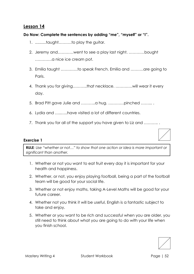## **Do Now: Complete the sentences by adding "me", "myself" or "I".**

- 1. ..........taught……….to play the guitar.
- 2. Jeremy and…………went to see a play last night. …………bought ………….a nice ice cream pot.
- 3. Emilia taught ………….to speak French. Emilia and ……….are going to Paris.
- 4. Thank you for giving………..that necklace. ………….will wear it every day.
- 5. Brad Pitt gave Julie and ………..a hug. …………pinched ……... .
- 6. Lydia and …..…..have visited a lot of different countries.
- 7. Thank you for all of the support you have given to Liz and ............

#### **Exercise 1**

**RULE***: Use "whether or not…" to show that one action or idea is more important or significant than another.* 

- 1. Whether or not you want to eat fruit every day it is important for your health and happiness.
- 2. Whether, or not, you enjoy playing football, being a part of the football team will be good for your social life.
- 3. Whether or not enjoy maths, taking A-Level Maths will be good for your future career.
- 4. Whether not you think it will be useful, English is a fantastic subject to take and enjoy.
- 5. Whether or you want to be rich and successful when you are older, you still need to think about what you are going to do with your life when you finish school.

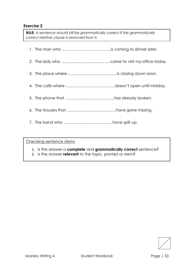**RULE***: A sentence should still be grammatically correct if the grammatically correct relative clause is removed from it.* 

- 1. The man who ………………………………..is coming to dinner later.
- 2. The lady who ………………………………..came to visit my office today.
- 3. The place where ………………………………..is closing down soon.
- 4. The café where ………………………………..doesn't open until midday.
- 5. The phone that ………………………………..has already broken.
- 6. The trousers that ………………………………..have gone missing.
- 7. The band who ………………………………..have split up.

Checking sentence stems

- 1. Is the answer a **complete** and **grammatically correct** sentence?
- 2. Is the answer **relevant** to the topic, prompt or stem?

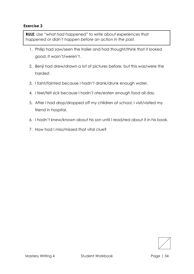**RULE***: Use "what had happened" to write about experiences that happened or didn't happen before an action in the past.*

- 1. Philip had saw/seen the trailer and had thought/think that it looked good. It wasn't/weren't.
- 2. Benji had drew/drawn a lot of pictures before, but this was/were the hardest.
- 3. I faint/fainted because I hadn't drank/drunk enough water.
- 4. I feel/felt sick because I hadn't ate/eaten enough food all day.
- 5. After I had drop/dropped off my children at school, I visit/visited my friend in hospital.
- 6. I hadn't knew/known about his son until I read/red about it in his book.
- 7. How had I miss/missed that vital clue?

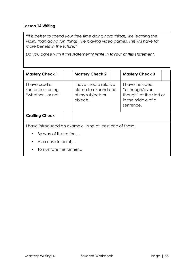## **Lesson 14 Writing**

*"It is better to spend your free time doing hard things, like learning the violin, than doing fun things, like playing video games. This will have far more benefit in the future."*

*Do you agree with it this statement? Write in favour of this statement.*

| <b>Mastery Check 1</b>                                                           |  | <b>Mastery Check 2</b>                                                          |  | <b>Mastery Check 3</b>                                                                          |
|----------------------------------------------------------------------------------|--|---------------------------------------------------------------------------------|--|-------------------------------------------------------------------------------------------------|
| I have used a<br>sentence starting<br>"whetheror not"                            |  | I have used a relative<br>clause to expand one<br>of my subjects or<br>objects. |  | I have included<br>"although/even<br>though" at the start or<br>in the middle of a<br>sentence. |
| <b>Crafting Check</b>                                                            |  |                                                                                 |  |                                                                                                 |
| I have introduced an example using at least one of these:                        |  |                                                                                 |  |                                                                                                 |
| By way of illustration,<br>$\bullet$                                             |  |                                                                                 |  |                                                                                                 |
| $\overline{1}$ , the contract of $\overline{1}$ , the contract of $\overline{1}$ |  |                                                                                 |  |                                                                                                 |

- As a case in point,...
- To illustrate this further,…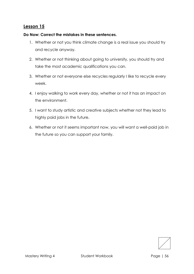#### **Do Now: Correct the mistakes in these sentences.**

- 1. Whether or not you think climate change is a real issue you should try and recycle anyway.
- 2. Whether or not thinking about going to university, you should try and take the most academic qualifications you can.
- 3. Whether or not everyone else recycles regularly I like to recycle every week.
- 4. I enjoy walking to work every day, whether or not it has an impact on the environment.
- 5. I want to study artistic and creative subjects whether not they lead to highly paid jobs in the future.
- 6. Whether or not it seems important now, you will want a well-paid job in the future so you can support your family.

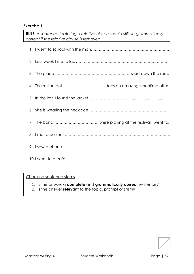**RULE***: A sentence featuring a relative clause should still be grammatically correct if the relative clause is removed.* 

## Checking sentence stems

- 1. Is the answer a **complete** and **grammatically correct** sentence?
- 2. Is the answer **relevant** to the topic, prompt or stem?

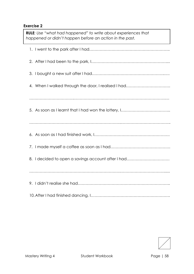1. I went to the park after I had…………………………………………………….. 2. After I had been to the park, I………………………………………………….... 3. I bought a new suit after I had………………………………………………..…. 4. When I walked through the door, I realised I had……………………………. ……………………………..…………………………………………………………….… 5. As soon as I learnt that I had won the lottery, I……………………………….. ……………………………………………………………..……………………………….. **RULE***: Use "what had happened" to write about experiences that happened or didn't happen before an action in the past.*

- 6. As soon as I had finished work, I………………………………………………….
- 7. I made myself a coffee as soon as I had……………………………………….
- 8. I decided to open a savings account after I had……………………………

…………………………………………………………….……………………………......

9. I didn't realise she had……………………………………………………………..

10.After I had finished dancing, I…………………………………………………….

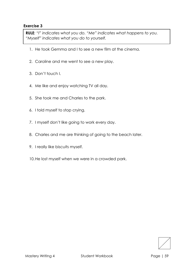**RULE***: "I" indicates what you do. "Me" indicates what happens to you. "Myself" indicates what you do to yourself.* 

- 1. He took Gemma and I to see a new film at the cinema.
- 2. Caroline and me went to see a new play.
- 3. Don't touch I.
- 4. Me like and enjoy watching TV all day.
- 5. She took me and Charles to the park.
- 6. I told myself to stop crying.
- 7. I myself don't like going to work every day.
- 8. Charles and me are thinking of going to the beach later.
- 9. I really like biscuits myself.
- 10.He lost myself when we were in a crowded park.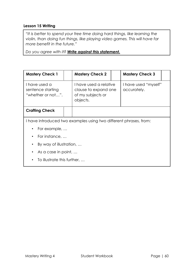## **Lesson 15 Writing**

*"It is better to spend your free time doing hard things, like learning the violin, than doing fun things, like playing video games. This will have far more benefit in the future."*

*Do you agree with it? Write against this statement.*

| <b>Mastery Check 1</b>                                  |              | <b>Mastery Check 2</b>                                                          |  | <b>Mastery Check 3</b>              |  |
|---------------------------------------------------------|--------------|---------------------------------------------------------------------------------|--|-------------------------------------|--|
| I have used a<br>sentence starting<br>"whether or not". |              | I have used a relative<br>clause to expand one<br>of my subjects or<br>objects. |  | I have used "myself"<br>accurately. |  |
| <b>Crafting Check</b>                                   |              |                                                                                 |  |                                     |  |
|                                                         |              | I have introduced two examples using two different phrases, from:               |  |                                     |  |
| ٠                                                       | For example, |                                                                                 |  |                                     |  |
| For instance,<br>$\bullet$                              |              |                                                                                 |  |                                     |  |
| By way of illustration,<br>٠                            |              |                                                                                 |  |                                     |  |
| As a case in point,<br>٠                                |              |                                                                                 |  |                                     |  |
| To illustrate this further,<br>٠                        |              |                                                                                 |  |                                     |  |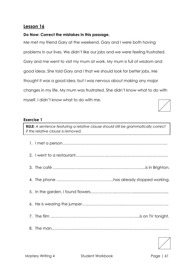### **Do Now: Correct the mistakes in this passage.**

Me met my friend Gary at the weekend. Gary and I were both having problems in our lives. We didn't like our jobs and we were feeling frustrated. Gary and me went to visit my mum at work. My mum is full of wisdom and good ideas. She told Gary and I that we should look for better jobs. Me thought it was a good idea, but I was nervous about making any major changes in my life. My mum was frustrated. She didn't know what to do with myself. I didn't know what to do with me.

#### **Exercise 1**

**RULE***: A sentence featuring a relative clause should still be grammatically correct if the relative clause is removed.* 

| $\overline{\phantom{a}}$ |
|--------------------------|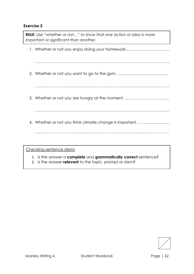1. Whether or not you enjoy doing your homework,…………………………… ………………………………………………………………………………………….. 2. Whether or not you want to go to the gym, ………………………………… ………………………………………………………………………….……………… 3. Whether or not you are hungry at the moment, ................................ …………………………………………………………………………………….…… 4. Whether or not you think climate change is important, …………………… …………………………………………………………………….…………………… **RULE***: Use "whether or not…" to show that one action or idea is more important or significant than another.*  Checking sentence stems

1. Is the answer a **complete** and **grammatically correct** sentence?

2. Is the answer **relevant** to the topic, prompt or stem?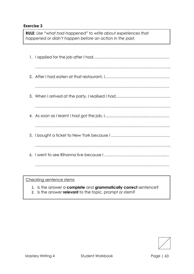**RULE***: Use "what had happened" to write about experiences that happened or didn't happen before an action in the past.*

Checking sentence stems

- 1. Is the answer a **complete** and **grammatically correct** sentence?
- 2. Is the answer **relevant** to the topic, prompt or stem?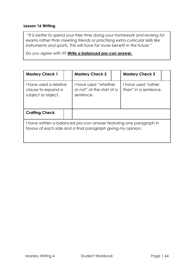### **Lesson 16 Writing**

*"It is better to spend your free time doing your homework and revising for exams rather than meeting friends or practising extra-curricular skills like instruments and sports. This will have far more benefit in the future."*

*Do you agree with it? Write a balanced pro-con answer.*

| <b>Mastery Check 1</b>                                                                                                              |  | <b>Mastery Check 2</b>                                         |  | <b>Mastery Check 3</b>                     |  |
|-------------------------------------------------------------------------------------------------------------------------------------|--|----------------------------------------------------------------|--|--------------------------------------------|--|
| I have used a relative<br>clause to expand a<br>subject or object.                                                                  |  | I have used "whether<br>or not" at the start of a<br>sentence. |  | Thave used "rather<br>than" in a sentence. |  |
| <b>Crafting Check</b>                                                                                                               |  |                                                                |  |                                            |  |
| I have written a balanced pro-con answer featuring one paragraph in<br>favour of each side and a final paragraph giving my opinion. |  |                                                                |  |                                            |  |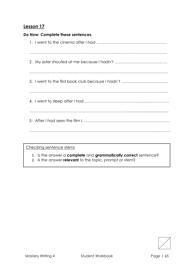| Do Now: Complete these sentences. |
|-----------------------------------|
|                                   |
|                                   |
|                                   |
|                                   |
|                                   |
|                                   |
|                                   |
|                                   |
|                                   |

Checking sentence stems

- 1. Is the answer a **complete** and **grammatically correct** sentence?
- 2. Is the answer **relevant** to the topic, prompt or stem?

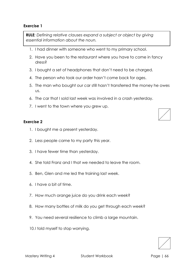#### Mastery Writing 4 Student Workbook Page | 66

#### 2. Less people came to my party this year.

3. I have fewer time than yesterday.

1. I bought me a present yesterday.

*essential information about the noun.* 

- 4. She told Franz and I that we needed to leave the room.
- 5. Ben, Glen and me led the training last week.
- 6. I have a bit of time.
- 7. How much orange juice do you drink each week?
- 8. How many bottles of milk do you get through each week?
- 9. You need several resilience to climb a large mountain.
- 10.I told myself to stop worrying.
- 1. I had dinner with someone who went to my primary school.
- 2. Have you been to the restaurant where you have to come in fancy dress?
- 3. I bought a set of headphones that don't need to be charged.

**RULE***: Defining relative clauses expand a subject or object by giving* 

- 4. The person who took our order hasn't come back for ages.
- 5. The man who bought our car still hasn't transferred the money he owes us.
- 6. The car that I sold last week was involved in a crash yesterday.
- 7. I went to the town where you grew up.

## **Exercise 1**

**Exercise 2**

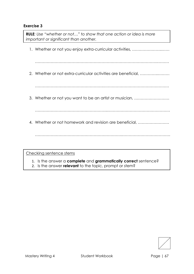1. Whether or not you enjoy extra-curricular activities, …………………..…… ………………………………………………………………………………….……… 2. Whether or not extra-curricular activities are beneficial, …………..……… …………………………………………….…………………………………………… 3. Whether or not you want to be an artist or musician, ……………………… ………………………………………………..………………………………………… 4. Whether or not homework and revision are beneficial, …………………… ………………………………………………………….………………………………. **RULE***: Use "whether or not…" to show that one action or idea is more important or significant than another.*  Checking sentence stems 1. Is the answer a **complete** and **grammatically correct** sentence?

2. Is the answer **relevant** to the topic, prompt or stem?

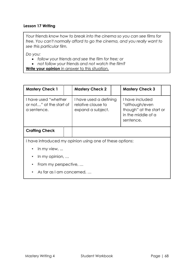## **Lesson 17 Writing**

*Your friends know how to break into the cinema so you can see films for free. You can't normally afford to go the cinema, and you really want to see this particular film.* 

*Do you:*

- *follow your friends and see the film for free; or*
- *not follow your friends and not watch the film?*

**Write your opinion** in answer to this situation.

| <b>Mastery Check 1</b>                                         |  | <b>Mastery Check 2</b>                                            |  | <b>Mastery Check 3</b>                                                                          |  |
|----------------------------------------------------------------|--|-------------------------------------------------------------------|--|-------------------------------------------------------------------------------------------------|--|
| I have used "whether<br>or not" at the start of<br>a sentence. |  | I have used a defining<br>relative clause to<br>expand a subject. |  | I have included<br>"although/even<br>though" at the start or<br>in the middle of a<br>sentence. |  |
| <b>Crafting Check</b>                                          |  |                                                                   |  |                                                                                                 |  |
|                                                                |  | I have introduced my opinion using one of these options:          |  |                                                                                                 |  |
| In my view, $\ldots$                                           |  |                                                                   |  |                                                                                                 |  |
| In my opinion, $\ldots$                                        |  |                                                                   |  |                                                                                                 |  |
| From my perspective,                                           |  |                                                                   |  |                                                                                                 |  |
| As far as I am concerned,                                      |  |                                                                   |  |                                                                                                 |  |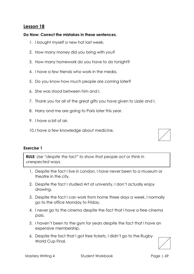## **Do Now: Correct the mistakes in these sentences.**

- 1. I bought myself a new hat last week.
- 2. How many money did you bring with you?
- 3. How many homework do you have to do tonight?
- 4. I have a few friends who work in the media.
- 5. Do you know how much people are coming later?
- 6. She was stood between him and I.
- 7. Thank you for all of the great gifts you have given to Lizzie and I.
- 8. Harry and me are going to Paris later this year.
- 9. I have a bit of air.
- 10.I have a few knowledge about medicine.



## **Exercise 1**

**RULE***: Use "despite the fact" to show that people act or think in unexpected ways.* 

- 1. Despite the fact I live in London, I have never been to a museum or theatre in the city.
- 2. Despite the fact I studied Art at university, I don't actually enjoy drawing.
- 3. Despite the fact I can work from home three days a week, I normally go to the office Monday to Friday.
- 4. I never go to the cinema despite the fact that I have a free cinema pass.
- 5. I haven't been to the gym for years despite the fact that I have an expensive membership.
- 6. Despite the fact that I got free tickets, I didn't go to the Rugby World Cup Final.

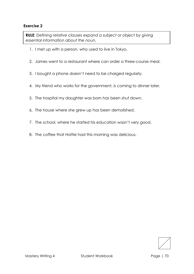**RULE***: Defining relative clauses expand a subject or object by giving essential information about the noun.* 

- 1. I met up with a person, who used to live in Tokyo.
- 2. James went to a restaurant where can order a three-course meal.
- 3. I bought a phone doesn't need to be charged regularly.
- 4. My friend who works for the government, is coming to dinner later.
- 5. The hospital my daughter was born has been shut down.
- 6. The house where she grew up has been demolished.
- 7. The school, where he started his education wasn't very good.
- 8. The coffee that Hattie had this morning was delicious.

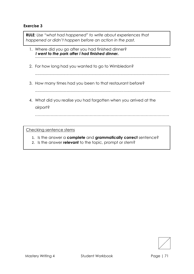**RULE***: Use "what had happened" to write about experiences that happened or didn't happen before an action in the past.*

- 1. Where did you go after you had finished dinner? ............................................................................................................................. *I went to the park after I had finished dinner.*
- 2. For how long had you wanted to go to Wimbledon?
	- ............................................................................................................................
- 3. How many times had you been to that restaurant before?

.............................................................................................................................

4. What did you realise you had forgotten when you arrived at the airport?

………………………………………………………………………………………….

Checking sentence stems

- 1. Is the answer a **complete** and **grammatically correct** sentence?
- 2. Is the answer **relevant** to the topic, prompt or stem?

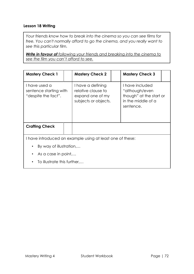## **Lesson 18 Writing**

*Your friends know how to break into the cinema so you can see films for free. You can't normally afford to go the cinema, and you really want to see this particular film.* 

*Write in favour of following your friends and breaking into the cinema to see the film you can't afford to see.* 

| <b>Mastery Check 1</b>                                         |  | <b>Mastery Check 2</b>                                                              |  | <b>Mastery Check 3</b>                                                                          |
|----------------------------------------------------------------|--|-------------------------------------------------------------------------------------|--|-------------------------------------------------------------------------------------------------|
| I have used a<br>sentence starting with<br>"despite the fact". |  | I have a defining<br>relative clause to<br>expand one of my<br>subjects or objects. |  | I have included<br>"although/even<br>though" at the start or<br>in the middle of a<br>sentence. |
| <b>Crafting Check</b>                                          |  |                                                                                     |  |                                                                                                 |
| I have introduced an example using at least one of these:      |  |                                                                                     |  |                                                                                                 |
| By way of illustration,<br>$\bullet$                           |  |                                                                                     |  |                                                                                                 |
| As a case in point<br>$\bullet$                                |  |                                                                                     |  |                                                                                                 |
| To illustrate this further,                                    |  |                                                                                     |  |                                                                                                 |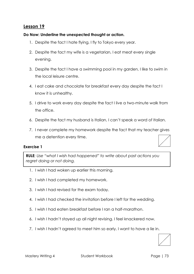# **Do Now: Underline the unexpected thought or action.**

- 1. Despite the fact I hate flying, I fly to Tokyo every year.
- 2. Despite the fact my wife is a vegetarian, I eat meat every single evening.
- 3. Despite the fact I have a swimming pool in my garden, I like to swim in the local leisure centre.
- 4. I eat cake and chocolate for breakfast every day despite the fact I know it is unhealthy.
- 5. I drive to work every day despite the fact I live a two-minute walk from the office.
- 6. Despite the fact my husband is Italian, I can't speak a word of Italian.
- 7. I never complete my homework despite the fact that my teacher gives me a detention every time.

## **Exercise 1**

**RULE***: Use "what I wish had happened" to write about past actions you regret doing or not doing.*

- 1. I wish I had woken up earlier this morning.
- 2. I wish I had completed my homework.
- 3. I wish I had revised for the exam today.
- 4. I wish I had checked the invitation before I left for the wedding.
- 5. I wish I had eaten breakfast before I ran a half-marathon.
- 6. I wish I hadn't stayed up all night revising. I feel knackered now.
- 7. I wish I hadn't agreed to meet him so early. I want to have a lie in.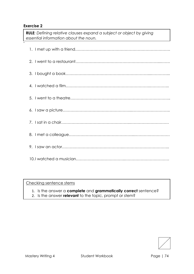**.**

**RULE***: Defining relative clauses expand a subject or object by giving essential information about the noun.* 

- 1. Is the answer a **complete** and **grammatically correct** sentence?
- 2. Is the answer **relevant** to the topic, prompt or stem?

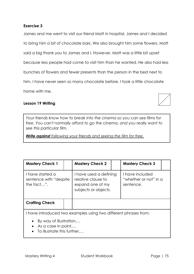James and me went to visit our friend Matt in hospital. James and I decided to bring him a bit of chocolate bars. We also brought him some flowers. Matt said a big thank you to James and I. However, Matt was a little bit upset because less people had come to visit him than he wanted. He also had less bunches of flowers and fewer presents than the person in the bed next to him. I have never seen so many chocolate before. I took a little chocolate home with me.

## **Lesson 19 Writing**

*Your friends know how to break into the cinema so you can see films for free. You can't normally afford to go the cinema, and you really want to see this particular film.* 

*Write against following your friends and seeing the film for free.*

| <b>Mastery Check 1</b>                                           |  | <b>Mastery Check 2</b>                                                                   |  | <b>Mastery Check 3</b>                                |  |
|------------------------------------------------------------------|--|------------------------------------------------------------------------------------------|--|-------------------------------------------------------|--|
| I have started a<br>sentence with "despite"<br>the fact".        |  | I have used a defining<br>relative clause to<br>expand one of my<br>subjects or objects. |  | I have included<br>"whether or not" in a<br>sentence. |  |
| <b>Crafting Check</b>                                            |  |                                                                                          |  |                                                       |  |
| I have introduced two examples using two different phrases from: |  |                                                                                          |  |                                                       |  |

- By way of illustration,…
- As a case in point...
- To illustrate this further....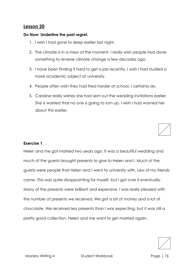## **Do Now: Underline the past regret.**

- 1. I wish I had gone to sleep earlier last night.
- 2. The climate is in a mess at the moment. I really wish people had done something to reverse climate change a few decades ago.
- 3. I have been finding it hard to get a job recently. I wish I had studied a more academic subject at university.
- 4. People often wish they had tried harder at school. I certainly do.
- 5. Caroline really wishes she had sent out the wedding invitations earlier. She is worried that no one is going to turn up. I wish I had warned her about this earlier.



## **Exercise 1**

Helen and me got married two years ago. It was a beautiful wedding and much of the guests brought presents to give to Helen and I. Much of the guests were people that Helen and I went to university with. Less of my friends came. This was quite disappointing for myself, but I got over it eventually. Many of the presents were brilliant and expensive. I was really pleased with the number of presents we received. We got a bit of money and a lot of chocolate. We received less presents than I was expecting, but it was still a pretty good collection. Helen and me want to get married again.



Mastery Writing 4 Student Workbook Page | 76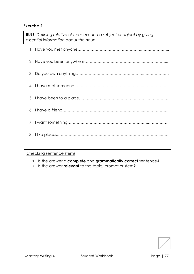**RULE***: Defining relative clauses expand a subject or object by giving essential information about the noun.* 

- 1. Is the answer a **complete** and **grammatically correct** sentence?
- 2. Is the answer **relevant** to the topic, prompt or stem?

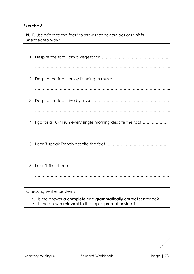**RULE***: Use "despite the fact" to show that people act or think in unexpected ways.* 

| 4. I go for a 10km run every single morning despite the fact |
|--------------------------------------------------------------|
|                                                              |
|                                                              |
|                                                              |
|                                                              |
|                                                              |

- 1. Is the answer a **complete** and **grammatically correct** sentence?
- 2. Is the answer **relevant** to the topic, prompt or stem?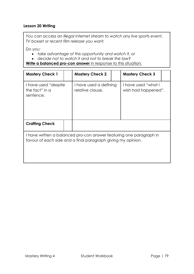## **Lesson 20 Writing**

*You can access an illegal internet stream to watch any live sports event, TV boxset or recent film release you want.* 

*Do you:*

- *take advantage of this opportunity and watch it, or*
- *decide not to watch it and not to break the law?*

**Write a balanced pro-con answer** in response to this situation.

| <b>Mastery Check 1</b>                                                                                                              |  | <b>Mastery Check 2</b>                     |  | <b>Mastery Check 3</b>                     |  |
|-------------------------------------------------------------------------------------------------------------------------------------|--|--------------------------------------------|--|--------------------------------------------|--|
| I have used "despite"<br>the fact" in a<br>sentence.                                                                                |  | I have used a defining<br>relative clause. |  | I have used "what I<br>wish had happened". |  |
| <b>Crafting Check</b>                                                                                                               |  |                                            |  |                                            |  |
| I have written a balanced pro-con answer featuring one paragraph in<br>favour of each side and a final paragraph giving my opinion. |  |                                            |  |                                            |  |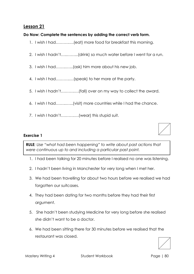# **Do Now: Complete the sentences by adding the correct verb form.**

- 1. I wish I had……….….(eat) more food for breakfast this morning.
- 2. I wish I hadn't…..……...(drink) so much water before I went for a run.
- 3. I wish I had……..…...(ask) him more about his new job.
- 4. I wish I had………..…(speak) to her more at the party.
- 5. I wish I hadn't……….….(fall) over on my way to collect the award.
- 6. I wish I had……..…...(visit) more countries while I had the chance.
- 7. I wish I hadn't……….….(wear) this stupid suit.

# **Exercise 1**

**RULE***: Use "what had been happening" to write about past actions that were continuous up to and including a particular past point.*

- 1. I had been talking for 20 minutes before I realised no one was listening.
- 2. I hadn't been living in Manchester for very long when I met her.
- 3. We had been travelling for about two hours before we realised we had forgotten our suitcases.
- 4. They had been dating for two months before they had their first argument.
- 5. She hadn't been studying Medicine for very long before she realised she didn't want to be a doctor.
- 6. We had been sitting there for 30 minutes before we realised that the restaurant was closed.

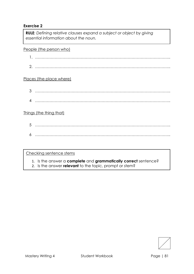**RULE***: Defining relative clauses expand a subject or object by giving essential information about the noun.* 

People (the person who)

- 1. …………………………………………………………………………………………..
- 2. …………………………………………………………………………………………..

# Places (the place where)

- 3 …………………………………………………………………………………………..
- 4 …………………………………………………………………………………………..

# Things (the thing that)

5 ………………………………………………………………………………………….. 6 …………………………………………………………………………………………..

- 1. Is the answer a **complete** and **grammatically correct** sentence?
- 2. Is the answer **relevant** to the topic, prompt or stem?

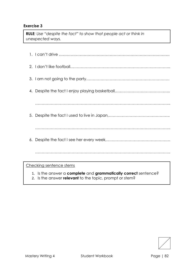**RULE***: Use "despite the fact" to show that people act or think in unexpected ways.* 

| 1. Is the answer a complete and grammatically correct sentence? |
|-----------------------------------------------------------------|
| Checking sentence stems                                         |
|                                                                 |
|                                                                 |
|                                                                 |
|                                                                 |
|                                                                 |
| 4.                                                              |
|                                                                 |
|                                                                 |
|                                                                 |

2. Is the answer **relevant** to the topic, prompt or stem?

I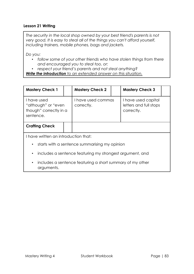# **Lesson 21 Writing**

*The security in the local shop owned by your best friend's parents is not very good. It is easy to steal all of the things you can't afford yourself, including trainers, mobile phones, bags and jackets.*

*Do you:*

- *follow some of your other friends who have stolen things from there and encouraged you to steal too, or:*
- *respect your friend's parents and not steal anything?*

*Write the introduction to an extended answer on this situation.* 

| <b>Mastery Check 1</b>                                                    |                                      | <b>Mastery Check 2</b>           |  | <b>Mastery Check 3</b>                                      |  |
|---------------------------------------------------------------------------|--------------------------------------|----------------------------------|--|-------------------------------------------------------------|--|
| I have used<br>"although" or "even<br>though" correctly in a<br>sentence. |                                      | I have used commas<br>correctly. |  | I have used capital<br>letters and full stops<br>correctly. |  |
| <b>Crafting Check</b>                                                     |                                      |                                  |  |                                                             |  |
|                                                                           | I have written an introduction that: |                                  |  |                                                             |  |
| starts with a sentence summarising my opinion<br>$\bullet$                |                                      |                                  |  |                                                             |  |
| includes a sentence featuring my strongest argument, and<br>$\bullet$     |                                      |                                  |  |                                                             |  |

• includes a sentence featuring a short summary of my other arguments.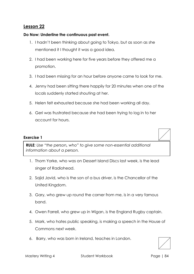## **Do Now: Underline the continuous past event.**

- 1. I hadn't been thinking about going to Tokyo, but as soon as she mentioned it I thought it was a good idea.
- 2. I had been working here for five years before they offered me a promotion.
- 3. I had been missing for an hour before anyone came to look for me.
- 4. Jenny had been sitting there happily for 20 minutes when one of the locals suddenly started shouting at her.
- 5. Helen felt exhausted because she had been working all day.
- 6. Geri was frustrated because she had been trying to log in to her account for hours.

#### **Exercise 1**

**RULE***: Use "the person, who" to give some non-essential additional information about a person.* 

- 1. Thom Yorke, who was on Dessert Island Discs last week, is the lead singer of Radiohead.
- 2. Sajid Javid, who is the son of a bus driver, is the Chancellor of the United Kingdom.
- 3. Gary, who grew up round the corner from me, is in a very famous band.
- 4. Owen Farrell, who grew up in Wigan, is the England Rugby captain.
- 5. Mark, who hates public speaking, is making a speech in the House of Commons next week.
- 6. Barry, who was born in Ireland, teaches in London.

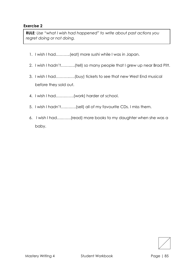**RULE***: Use "what I wish had happened" to write about past actions you regret doing or not doing.*

- 1. I wish I had………..(eat) more sushi while I was in Japan.
- 2. I wish I hadn't…….….(tell) so many people that I grew up near Brad Pitt.
- 3. I wish I had………..….(buy) tickets to see that new West End musical before they sold out.
- 4. I wish I had…….…….(work) harder at school.
- 5. I wish I hadn't….….….(sell) all of my favourite CDs. I miss them.
- 6. I wish I had….…….(read) more books to my daughter when she was a baby.

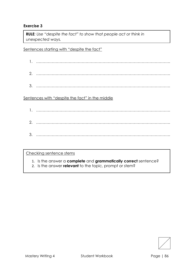**RULE***: Use "despite the fact" to show that people act or think in unexpected ways.* 

Sentences starting with "despite the fact"

- 1. …………………………………………………………………………………………. 2. ………………………………………………………………………………………….
- 3. ………………………………………………………………………………………….

Sentences with "despite the fact" in the middle

1. …………………………………………………………………………………………. 2. …………………………………………………………………………………………. 3. ………………………………………………………………………………………….

- 1. Is the answer a **complete** and **grammatically correct** sentence?
- 2. Is the answer **relevant** to the topic, prompt or stem?

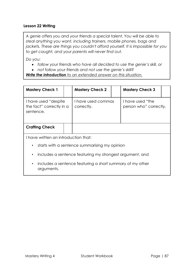# **Lesson 22 Writing**

*A genie offers you and your friends a special talent. You will be able to steal anything you want, including trainers, mobile phones, bags and jackets. These are things you couldn't afford yourself. It is impossible for you to get caught, and your parents will never find out.* 

*Do you:*

- *follow your friends who have all decided to use the genie's skill, or*
- *not follow your friends and not use the genie's skill?*

*Write the introduction to an extended answer on this situation.* 

| <b>Mastery Check 1</b>                                                               |                                               | <b>Mastery Check 2</b>           |  | <b>Mastery Check 3</b>                     |  |
|--------------------------------------------------------------------------------------|-----------------------------------------------|----------------------------------|--|--------------------------------------------|--|
| I have used "despite"<br>the fact" correctly in a<br>sentence.                       |                                               | I have used commas<br>correctly. |  | I have used "the<br>person who" correctly. |  |
| <b>Crafting Check</b>                                                                |                                               |                                  |  |                                            |  |
|                                                                                      | I have written an introduction that:          |                                  |  |                                            |  |
| $\bullet$                                                                            | starts with a sentence summarising my opinion |                                  |  |                                            |  |
| • includes a sentence featuring my strongest argument, and                           |                                               |                                  |  |                                            |  |
| includes a sentence featuring a short summary of my other<br>$\bullet$<br>arguments. |                                               |                                  |  |                                            |  |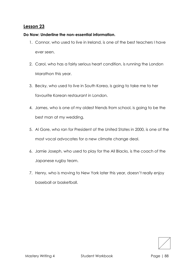## **Do Now: Underline the non-essential information.**

- 1. Connor, who used to live in Ireland, is one of the best teachers I have ever seen.
- 2. Carol, who has a fairly serious heart condition, is running the London Marathon this year.
- 3. Becky, who used to live in South Korea, is going to take me to her favourite Korean restaurant in London.
- 4. James, who is one of my oldest friends from school, is going to be the best man at my wedding.
- 5. Al Gore, who ran for President of the United States in 2000, is one of the most vocal advocates for a new climate change deal.
- 6. Jamie Joseph, who used to play for the All Blacks, is the coach of the Japanese rugby team.
- 7. Henry, who is moving to New York later this year, doesn't really enjoy baseball or basketball.

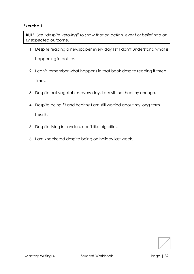**RULE***: Use "despite verb-ing" to show that an action, event or belief had an unexpected outcome.* 

- 1. Despite reading a newspaper every day I still don't understand what is happening in politics.
- 2. I can't remember what happens in that book despite reading it three times.
- 3. Despite eat vegetables every day, I am still not healthy enough.
- 4. Despite being fit and healthy I am still worried about my long-term health.
- 5. Despite living in London, don't like big cities.
- 6. I am knackered despite being on holiday last week.

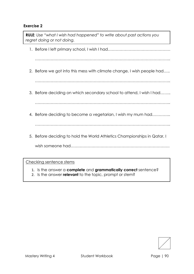1. Before I left primary school, I wish I had………………………………………… ………………………………………………………………………………………….. 2. Before we got into this mess with climate change, I wish people had….. ………………………………………………………………………………………….. 3. Before deciding on which secondary school to attend, I wish I had…….. ………………………………………………………………………………………….. 4. Before deciding to become a vegetarian, I wish my mum had………….. ………………………………………………………………………………………….. 5. Before deciding to hold the World Athletics Championships in Qatar, I wish someone had…………………………………………………………………. **RULE***: Use "what I wish had happened" to write about past actions you regret doing or not doing.*

- 1. Is the answer a **complete** and **grammatically correct** sentence?
- 2. Is the answer **relevant** to the topic, prompt or stem?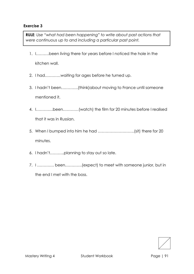**RULE***: Use "what had been happening" to write about past actions that were continuous up to and including a particular past point.*

- 1. I……….been living there for years before I noticed the hole in the kitchen wall.
- 2. I had…………waiting for ages before he turned up.
- 3. I hadn't been………….(think)about moving to France until someone mentioned it.
- 4. I………….been…………(watch) the film for 20 minutes before I realised that it was in Russian.
- 5. When I bumped into him he had ……………………….(sit) there for 20 minutes.
- 6. I hadn't………..planning to stay out so late.
- 7. I …………. been………….(expect) to meet with someone junior, but in the end I met with the boss.

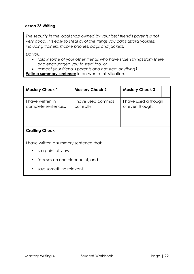## **Lesson 23 Writing**

*The security in the local shop owned by your best friend's parents is not very good. It is easy to steal all of the things you can't afford yourself, including trainers, mobile phones, bags and jackets.* 

*Do you:*

- *follow some of your other friends who have stolen things from there and encouraged you to steal too, or*
- *respect your friend's parents and not steal anything?*

**Write a summary sentence** in answer to this situation.

| <b>Mastery Check 1</b>                       |                      | <b>Mastery Check 2</b>           |  | <b>Mastery Check 3</b>                  |  |
|----------------------------------------------|----------------------|----------------------------------|--|-----------------------------------------|--|
| I have written in<br>complete sentences.     |                      | I have used commas<br>correctly. |  | I have used although<br>or even though. |  |
| <b>Crafting Check</b>                        |                      |                                  |  |                                         |  |
| I have written a summary sentence that:      |                      |                                  |  |                                         |  |
|                                              | • is a point of view |                                  |  |                                         |  |
| focuses on one clear point, and<br>$\bullet$ |                      |                                  |  |                                         |  |
| says something relevant.<br>$\bullet$        |                      |                                  |  |                                         |  |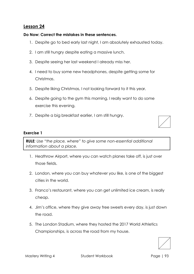## **Do Now: Correct the mistakes in these sentences.**

- 1. Despite go to bed early last night, I am absolutely exhausted today.
- 2. I am still hungry despite eating a massive lunch.
- 3. Despite seeing her last weekend I already miss her.
- 4. I need to buy some new headphones, despite getting some for Christmas.
- 5. Despite liking Christmas, I not looking forward to it this year.
- 6. Despite going to the gym this morning, I really want to do some exercise this evening.
- 7. Despite a big breakfast earlier, I am still hungry.

#### **Exercise 1**

**RULE***: Use "the place, where" to give some non-essential additional information about a place.* 

- 1. Heathrow Airport, where you can watch planes take off, is just over those fields.
- 2. London, where you can buy whatever you like, is one of the biggest cities in the world.
- 3. Franco's restaurant, where you can get unlimited ice cream, is really cheap.
- 4. Jim's office, where they give away free sweets every day, is just down the road.
- 5. The London Stadium, where they hosted the 2017 World Athletics Championships, is across the road from my house.

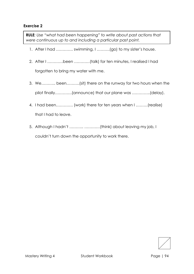**RULE***: Use "what had been happening" to write about past actions that were continuous up to and including a particular past point.*

- 1. After I had …………. swimming, I ……….(go) to my sister's house.
- 2. After I …………been …………(talk) for ten minutes, I realised I had forgotten to bring my water with me.
- 3. We……….. been……….(sit) there on the runway for two hours when the pilot finally………….(announce) that our plane was …………..(delay).
- 4. I had been…………. (work) there for ten years when I ………(realise) that I had to leave.
- 5. Although I hadn't ……….. …………(think) about leaving my job, I couldn't turn down the opportunity to work there.

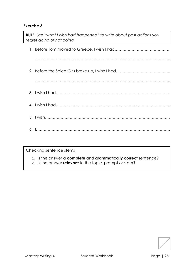| <b>RULE:</b> Use "what I wish had happened" to write about past actions you<br>regret doing or not doing. |
|-----------------------------------------------------------------------------------------------------------|
|                                                                                                           |
|                                                                                                           |
|                                                                                                           |
|                                                                                                           |
|                                                                                                           |
|                                                                                                           |
|                                                                                                           |
|                                                                                                           |

- 1. Is the answer a **complete** and **grammatically correct** sentence?
- 2. Is the answer **relevant** to the topic, prompt or stem?